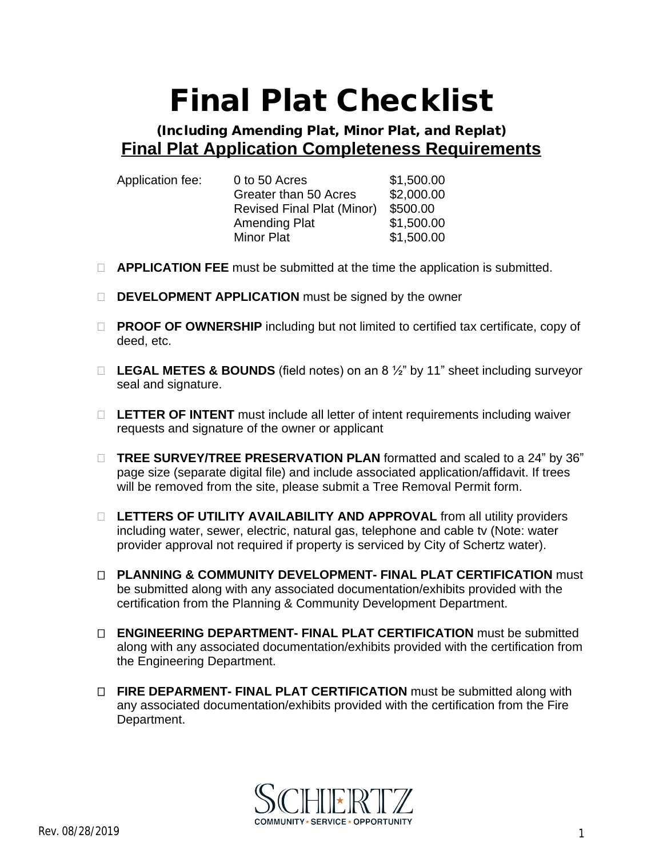## **Final Plat Checklist**

## **(Including Amending Plat, Minor Plat, and Replat) Final Plat Application Completeness Requirements**

| Application fee: | 0 to 50 Acres                     | \$1,500.00 |
|------------------|-----------------------------------|------------|
|                  | Greater than 50 Acres             | \$2,000.00 |
|                  | <b>Revised Final Plat (Minor)</b> | \$500.00   |
|                  | <b>Amending Plat</b>              | \$1,500.00 |
|                  | <b>Minor Plat</b>                 | \$1,500.00 |

- **APPLICATION FEE** must be submitted at the time the application is submitted.
- **DEVELOPMENT APPLICATION** must be signed by the owner
- □ **PROOF OF OWNERSHIP** including but not limited to certified tax certificate, copy of deed, etc.
- **LEGAL METES & BOUNDS** (field notes) on an 8 ½" by 11" sheet including surveyor seal and signature.
- **LETTER OF INTENT** must include all letter of intent requirements including waiver requests and signature of the owner or applicant
- □ **TREE SURVEY/TREE PRESERVATION PLAN** formatted and scaled to a 24" by 36" page size (separate digital file) and include associated application/affidavit. If trees will be removed from the site, please submit a Tree Removal Permit form.
- □ LETTERS OF UTILITY AVAILABILITY AND APPROVAL from all utility providers including water, sewer, electric, natural gas, telephone and cable tv (Note: water provider approval not required if property is serviced by City of Schertz water).
- **PLANNING & COMMUNITY DEVELOPMENT- FINAL PLAT CERTIFICATION** must be submitted along with any associated documentation/exhibits provided with the certification from the Planning & Community Development Department.
- **ENGINEERING DEPARTMENT- FINAL PLAT CERTIFICATION** must be submitted along with any associated documentation/exhibits provided with the certification from the Engineering Department.
- □ FIRE DEPARMENT- FINAL PLAT CERTIFICATION must be submitted along with any associated documentation/exhibits provided with the certification from the Fire Department.